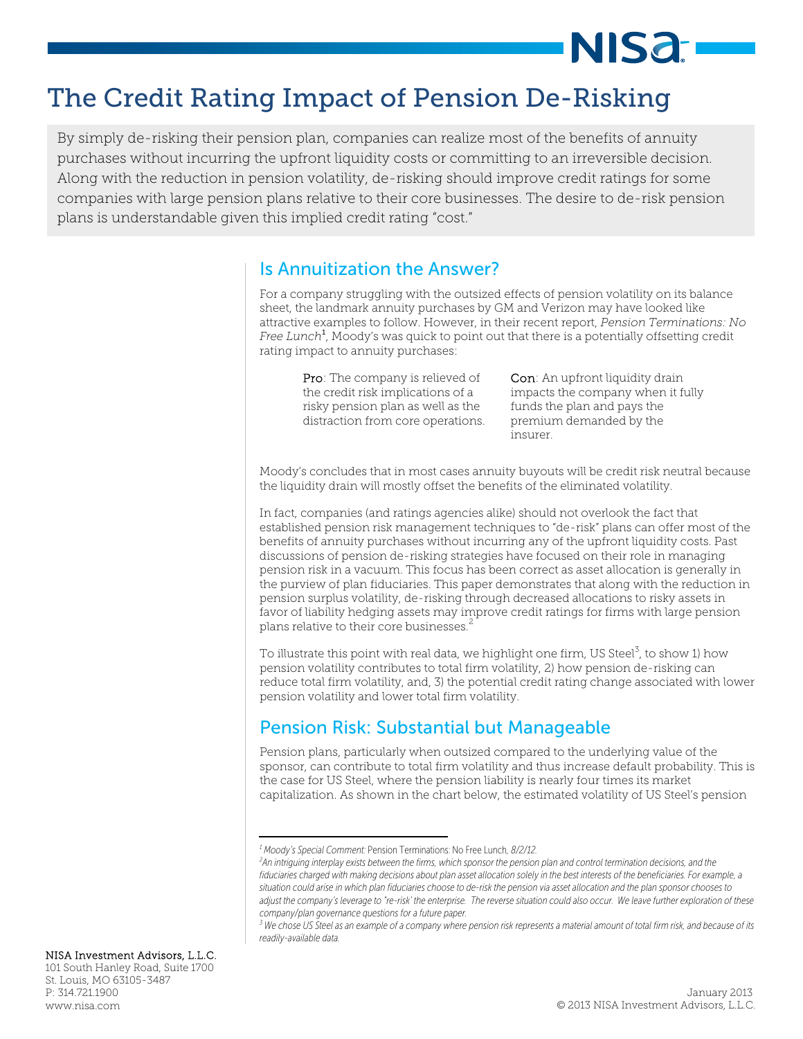# NIS**a**:

# The Credit Rating Impact of Pension De-Risking

 By simply de-risking their pension plan, companies can realize most of the benefits of annuity Along with the reduction in pension volatility, de-risking should improve credit ratings for some plans is understandable given this implied credit rating "cost." purchases without incurring the upfront liquidity costs or committing to an irreversible decision. companies with large pension plans relative to their core businesses. The desire to de-risk pension

### Is Annuitization the Answer?

For a company struggling with the outsized effects of pension volatility on its balance sheet, the landmark annuity purchases by GM and Verizon may have looked like attractive examples to follow. However, in their recent report, *Pension Terminations: No Free Lunch*<sup>1</sup> , Moody's was quick to point out that there is a potentially offsetting credit rating impact to annuity purchases:

Pro: The company is relieved of the credit risk implications of a risky pension plan as well as the distraction from core operations.

Con: An upfront liquidity drain impacts the company when it fully funds the plan and pays the premium demanded by the insurer.

Moody's concludes that in most cases annuity buyouts will be credit risk neutral because the liquidity drain will mostly offset the benefits of the eliminated volatility.

In fact, companies (and ratings agencies alike) should not overlook the fact that established pension risk management techniques to "de-risk" plans can offer most of the benefits of annuity purchases without incurring any of the upfront liquidity costs. Past discussions of pension de-risking strategies have focused on their role in managing pension risk in a vacuum. This focus has been correct as asset allocation is generally in the purview of plan fiduciaries. This paper demonstrates that along with the reduction in pension surplus volatility, de-risking through decreased allocations to risky assets in favor of liability hedging assets may improve credit ratings for firms with large pension plans relative to their core businesses.<sup>2</sup>

To illustrate this point with real data, we highlight one firm, US Steel $^3$ , to show 1) how pension volatility contributes to total firm volatility, 2) how pension de-risking can reduce total firm volatility, and, 3) the potential credit rating change associated with lower pension volatility and lower total firm volatility.

# Pension Risk: Substantial but Manageable

Pension plans, particularly when outsized compared to the underlying value of the sponsor, can contribute to total firm volatility and thus increase default probability. This is the case for US Steel, where the pension liability is nearly four times its market capitalization. As shown in the chart below, the estimated volatility of US Steel's pension

#### NISA Investment Advisors, L.L.C.

101 South Hanley Road, Suite 1700 St. Louis, MO 63105-3487 P: 314.721.1900

*<sup>1</sup> Moody's Special Comment:* Pension Terminations: No Free Lunch*, 8/2/12. 2*

*An intriguing interplay exists between the firms, which sponsor the pension plan and control termination decisions, and the fiduciaries charged with making decisions about plan asset allocation solely in the best interests of the beneficiaries. For example, a situation could arise in which plan fiduciaries choose to de-risk the pension via asset allocation and the plan sponsor chooses to adjust the company's leverage to "re-risk' the enterprise. The reverse situation could also occur. We leave further exploration of these company/plan governance questions for a future paper.* 

*<sup>3</sup> We chose US Steel as an example of a company where pension risk represents a material amount of total firm risk, and because of its readily-available data.*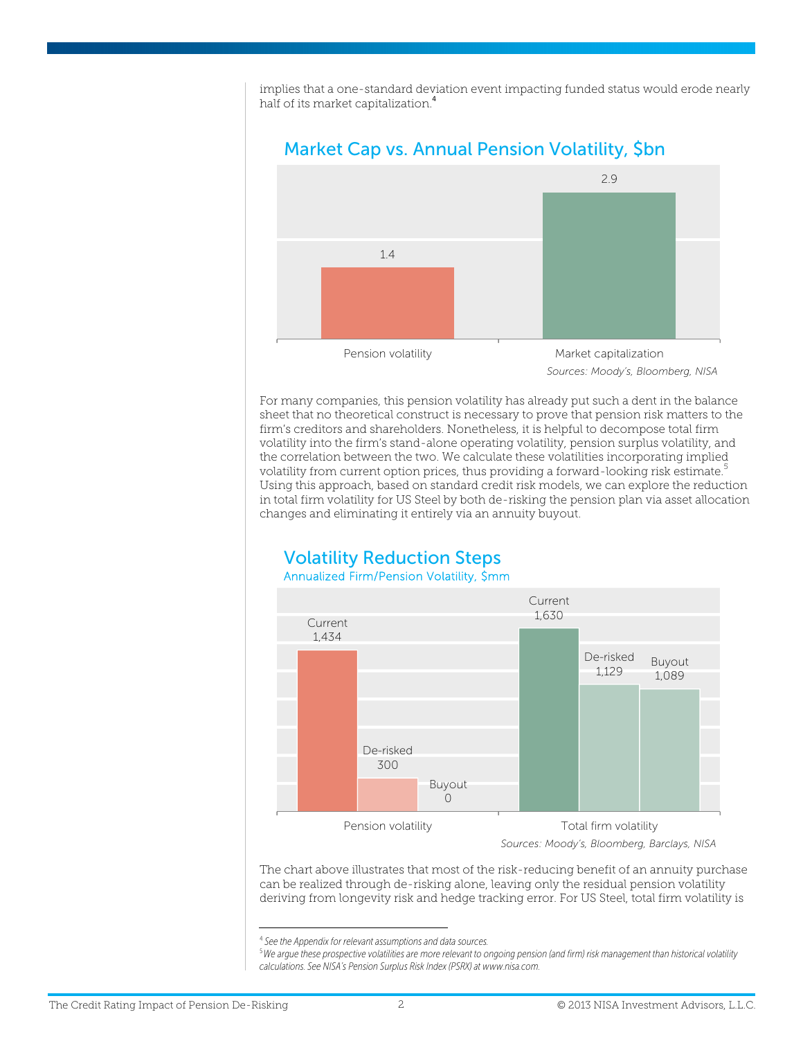implies that a one-standard deviation event impacting funded status would erode nearly half of its market capitalization.<sup>4</sup>



### Market Cap vs. Annual Pension Volatility, \$bn

For many companies, this pension volatility has already put such a dent in the balance sheet that no theoretical construct is necessary to prove that pension risk matters to the firm's creditors and shareholders. Nonetheless, it is helpful to decompose total firm volatility into the firm's stand-alone operating volatility, pension surplus volatility, and the correlation between the two. We calculate these volatilities incorporating implied volatility from current option prices, thus providing a forward-looking risk estimate.<sup>5</sup> Using this approach, based on standard credit risk models, we can explore the reduction in total firm volatility for US Steel by both de-risking the pension plan via asset allocation changes and eliminating it entirely via an annuity buyout.

### Volatility Reduction Steps Annualized Firm/Pension Volatility, \$mm



The chart above illustrates that most of the risk-reducing benefit of an annuity purchase can be realized through de-risking alone, leaving only the residual pension volatility deriving from longevity risk and hedge tracking error. For US Steel, total firm volatility is

 4  *See the Appendix for relevant assumptions and data sources.* 

<sup>5</sup>*We argue these prospective volatilities are more relevant to ongoing pension (and firm) risk management than historical volatility calculations. See NISA's Pension Surplus Risk Index (PSRX) at www.nisa.com.*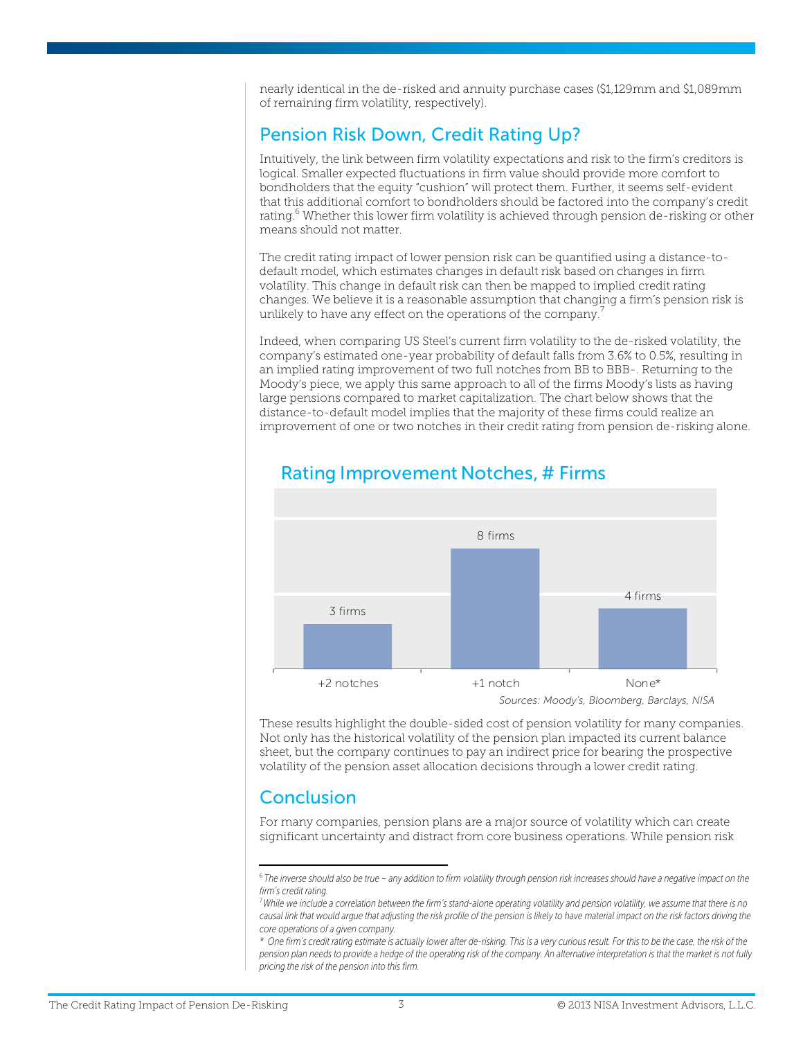nearly identical in the de-risked and annuity purchase cases (\$1,129mm and \$1,089mm of remaining firm volatility, respectively).

## Pension Risk Down, Credit Rating Up?

Intuitively, the link between firm volatility expectations and risk to the firm's creditors is logical. Smaller expected fluctuations in firm value should provide more comfort to bondholders that the equity "cushion" will protect them. Further, it seems self-evident that this additional comfort to bondholders should be factored into the company's credit rating.<sup>6</sup> Whether this lower firm volatility is achieved through pension de-risking or other means should not matter.

The credit rating impact of lower pension risk can be quantified using a distance-todefault model, which estimates changes in default risk based on changes in firm volatility. This change in default risk can then be mapped to implied credit rating changes. We believe it is a reasonable assumption that changing a firm's pension risk is unlikely to have any effect on the operations of the company.<sup>7</sup>

Indeed, when comparing US Steel's current firm volatility to the de-risked volatility, the company's estimated one-year probability of default falls from 3.6% to 0.5%, resulting in an implied rating improvement of two full notches from BB to BBB-. Returning to the Moody's piece, we apply this same approach to all of the firms Moody's lists as having large pensions compared to market capitalization. The chart below shows that the distance-to-default model implies that the majority of these firms could realize an improvement of one or two notches in their credit rating from pension de-risking alone.



### Rating Improvement Notches, # Firms

These results highlight the double-sided cost of pension volatility for many companies. Not only has the historical volatility of the pension plan impacted its current balance sheet, but the company continues to pay an indirect price for bearing the prospective volatility of the pension asset allocation decisions through a lower credit rating.

# **Conclusion**

For many companies, pension plans are a major source of volatility which can create significant uncertainty and distract from core business operations. While pension risk

<sup>6</sup>*The inverse should also be true – any addition to firm volatility through pension risk increases should have a negative impact on the firm's credit rating.* 

<sup>7</sup>*While we include a correlation between the firm's stand-alone operating volatility and pension volatility, we assume that there is no*  causal link that would argue that adjusting the risk profile of the pension is likely to have material impact on the risk factors driving the *core operations of a given company.* 

*<sup>\*</sup> One firm's credit rating estimate is actually lower after de-risking. This is a very curious result. For this to be the case, the risk of the pension plan needs to provide a hedge of the operating risk of the company. An alternative interpretation is that the market is not fully pricing the risk of the pension into this firm.*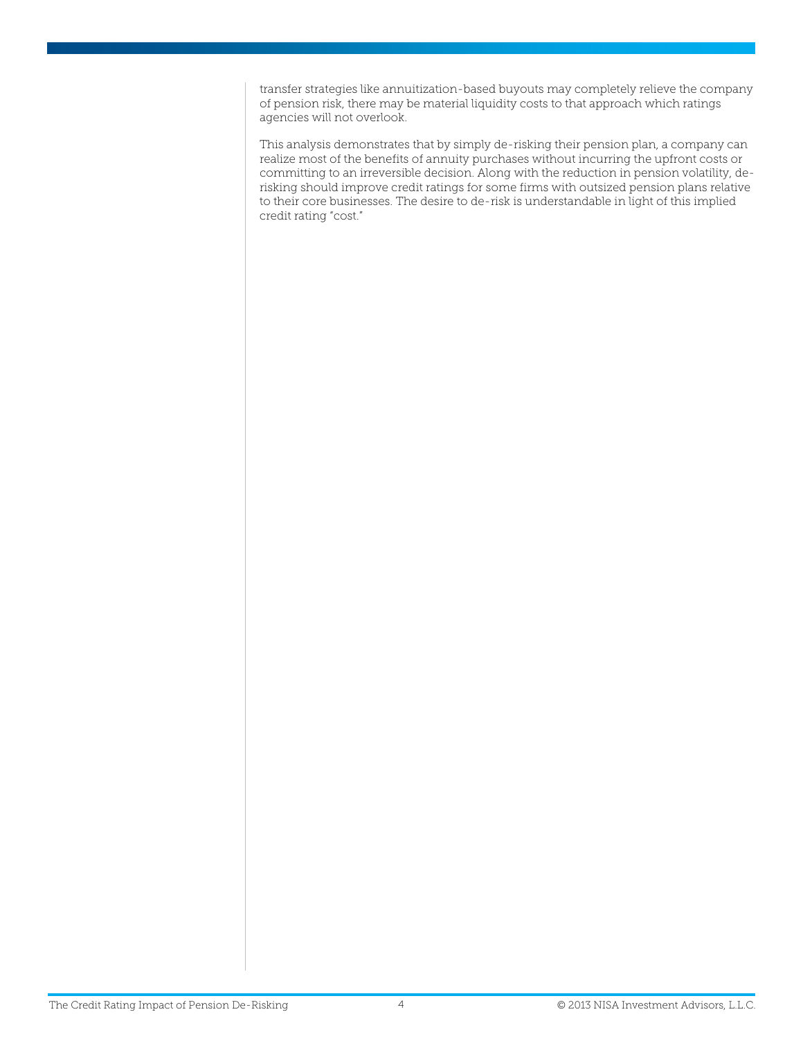transfer strategies like annuitization-based buyouts may completely relieve the company of pension risk, there may be material liquidity costs to that approach which ratings agencies will not overlook.

This analysis demonstrates that by simply de-risking their pension plan, a company can realize most of the benefits of annuity purchases without incurring the upfront costs or committing to an irreversible decision. Along with the reduction in pension volatility, derisking should improve credit ratings for some firms with outsized pension plans relative to their core businesses. The desire to de-risk is understandable in light of this implied credit rating "cost."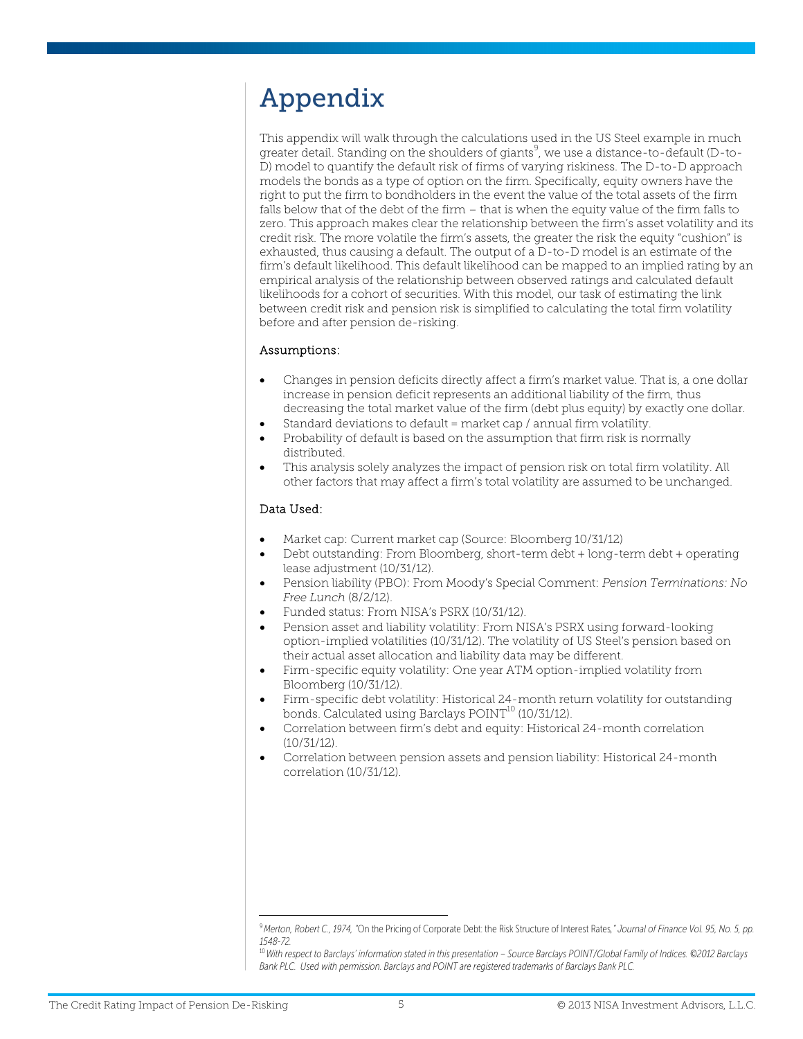# Appendix

This appendix will walk through the calculations used in the US Steel example in much greater detail. Standing on the shoulders of giants<sup>9</sup>, we use a distance-to-default (D-to-D) model to quantify the default risk of firms of varying riskiness. The D-to-D approach models the bonds as a type of option on the firm. Specifically, equity owners have the right to put the firm to bondholders in the event the value of the total assets of the firm falls below that of the debt of the firm – that is when the equity value of the firm falls to zero. This approach makes clear the relationship between the firm's asset volatility and its credit risk. The more volatile the firm's assets, the greater the risk the equity "cushion" is exhausted, thus causing a default. The output of a D-to-D model is an estimate of the firm's default likelihood. This default likelihood can be mapped to an implied rating by an empirical analysis of the relationship between observed ratings and calculated default likelihoods for a cohort of securities. With this model, our task of estimating the link between credit risk and pension risk is simplified to calculating the total firm volatility before and after pension de-risking.

### Assumptions:

- Changes in pension deficits directly affect a firm's market value. That is, a one dollar increase in pension deficit represents an additional liability of the firm, thus decreasing the total market value of the firm (debt plus equity) by exactly one dollar.
- Standard deviations to default = market cap / annual firm volatility.
- Probability of default is based on the assumption that firm risk is normally distributed.
- This analysis solely analyzes the impact of pension risk on total firm volatility. All other factors that may affect a firm's total volatility are assumed to be unchanged.

### Data Used:

- Market cap: Current market cap (Source: Bloomberg 10/31/12)
- Debt outstanding: From Bloomberg, short-term debt + long-term debt + operating lease adjustment (10/31/12).
- Pension liability (PBO): From Moody's Special Comment: *Pension Terminations: No Free Lunch* (8/2/12).
- Funded status: From NISA's PSRX (10/31/12).
- Pension asset and liability volatility: From NISA's PSRX using forward-looking option-implied volatilities (10/31/12). The volatility of US Steel's pension based on their actual asset allocation and liability data may be different.
- Firm-specific equity volatility: One year ATM option-implied volatility from Bloomberg (10/31/12).
- Firm-specific debt volatility: Historical 24-month return volatility for outstanding bonds. Calculated using Barclays POINT<sup>10</sup> (10/31/12).
- Correlation between firm's debt and equity: Historical 24-month correlation (10/31/12).
- Correlation between pension assets and pension liability: Historical 24-month correlation (10/31/12).

 <sup>9</sup>*Merton, Robert C., 1974, "*On the Pricing of Corporate Debt: the Risk Structure of Interest Rates*," Journal of Finance Vol. 95, No. 5, pp. 1548-72.*

<sup>10</sup>*With respect to Barclays' information stated in this presentation – Source Barclays POINT/Global Family of Indices. ©2012 Barclays Bank PLC. Used with permission. Barclays and POINT are registered trademarks of Barclays Bank PLC.*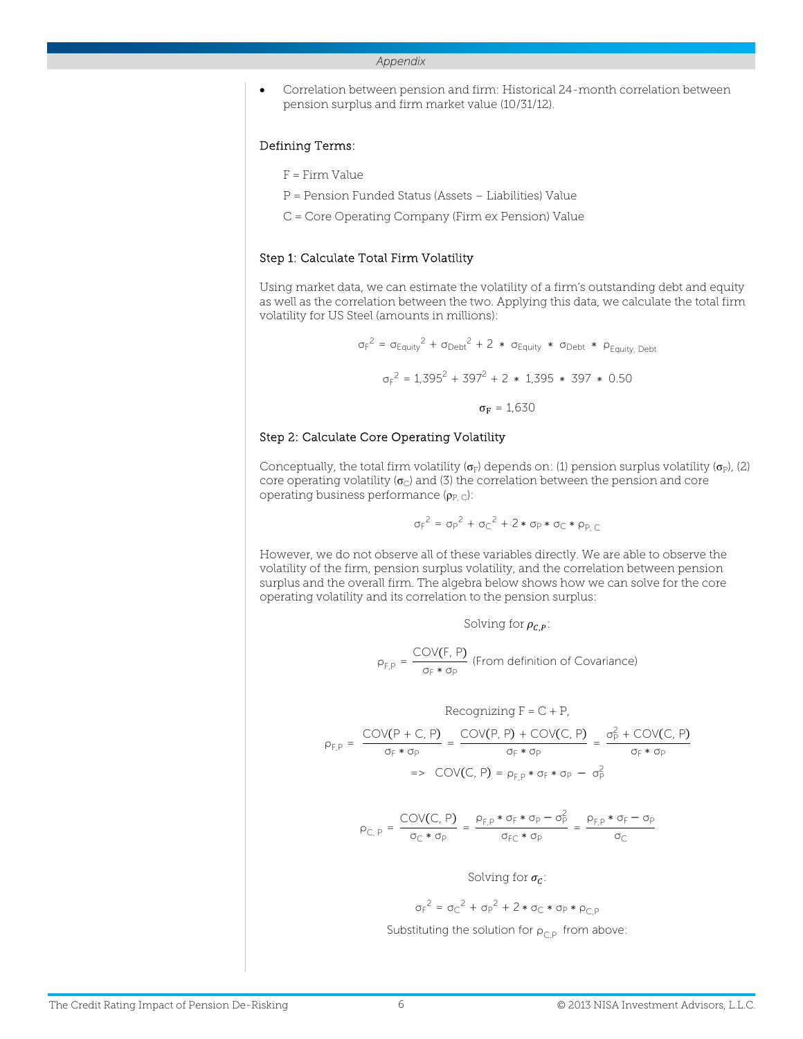#### *Appendix*

 Correlation between pension and firm: Historical 24-month correlation between pension surplus and firm market value (10/31/12).

#### Defining Terms:

- F = Firm Value
- P = Pension Funded Status (Assets Liabilities) Value
- C = Core Operating Company (Firm ex Pension) Value

#### Step 1: Calculate Total Firm Volatility

Using market data, we can estimate the volatility of a firm's outstanding debt and equity as well as the correlation between the two. Applying this data, we calculate the total firm volatility for US Steel (amounts in millions):

$$
\sigma_F^2 = \sigma_{Equity}^2 + \sigma_{Debt}^2 + 2 * \sigma_{Equity} * \sigma_{Debt} * \rho_{Equity, Debt}
$$
  

$$
\sigma_F^2 = 1,395^2 + 397^2 + 2 * 1,395 * 397 * 0.50
$$
  

$$
\sigma_F = 1,630
$$

#### Step 2: Calculate Core Operating Volatility

Conceptually, the total firm volatility ( $\sigma_F$ ) depends on: (1) pension surplus volatility ( $\sigma_P$ ), (2) core operating volatility ( $\sigma_{\rm C}$ ) and (3) the correlation between the pension and core operating business performance  $(p_{P,C})$ :

$$
\sigma_F^2 = \sigma_P^2 + \sigma_C^2 + 2 * \sigma_P * \sigma_C * \rho_{P,C}
$$

However, we do not observe all of these variables directly. We are able to observe the volatility of the firm, pension surplus volatility, and the correlation between pension surplus and the overall firm. The algebra below shows how we can solve for the core operating volatility and its correlation to the pension surplus:

Solving for  $\rho_{CP}$ :

$$
\rho_{F,P} = \frac{COV(F, P)}{\sigma_F * \sigma_P}
$$
 (From definition of Covariance)

$$
\text{Reconizing } F = C + P,
$$
\n
$$
\rho_{F,P} = \frac{\text{COV}(P + C, P)}{\sigma_F * \sigma_P} = \frac{\text{COV}(P, P) + \text{COV}(C, P)}{\sigma_F * \sigma_P} = \frac{\sigma_P^2 + \text{COV}(C, P)}{\sigma_F * \sigma_P}
$$
\n
$$
= \text{COV}(C, P) = \rho_{F,P} * \sigma_F * \sigma_P - \sigma_P^2
$$

$$
\rho_{C,\;P} = \frac{\text{COV}(C,\;P)}{\sigma_C*\sigma_P} = \frac{\rho_{F,P}*\sigma_F*\sigma_P-\sigma_P^2}{\sigma_Fc*\sigma_P} = \frac{\rho_{F,P}*\sigma_F-\sigma_P}{\sigma_C}
$$

Solving for  $\sigma_c$ :

$$
\sigma_F^2 = \sigma_C^2 + \sigma_P^2 + 2 * \sigma_C * \sigma_P * \rho_{C,P}
$$

Substituting the solution for  $\rho_{CP}$  from above: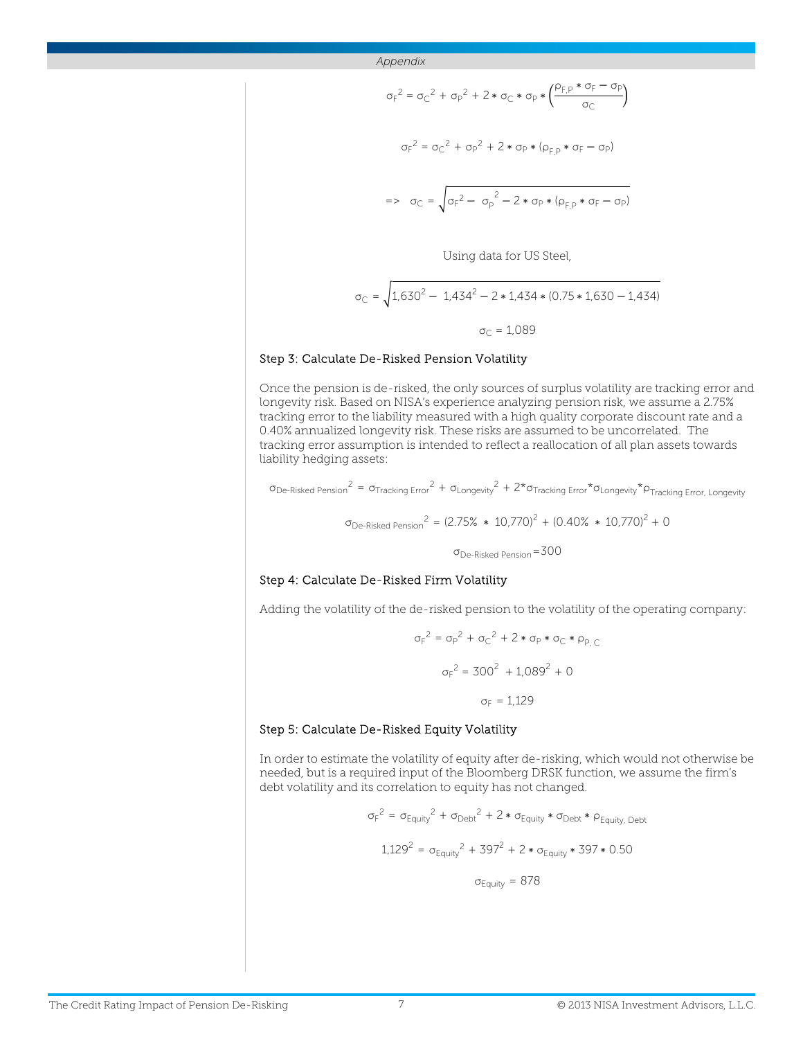$$
\sigma_F^2 = \sigma_C^2 + \sigma_P^2 + 2 * \sigma_C * \sigma_P * \left(\frac{\rho_{F,P} * \sigma_F - \sigma_P}{\sigma_C}\right)
$$
  

$$
\sigma_F^2 = \sigma_C^2 + \sigma_P^2 + 2 * \sigma_P * (\rho_{F,P} * \sigma_F - \sigma_P)
$$
  

$$
= \sigma_C = \sqrt{\sigma_F^2 - \sigma_P^2 - 2 * \sigma_P * (\rho_{F,P} * \sigma_F - \sigma_P)}
$$
  
Using data for US Steel,

$$
\sigma_{\rm C} = \sqrt{1,630^2 - 1,434^2 - 2 * 1,434 * (0.75 * 1,630 - 1,434)}
$$

$$
\sigma_{\rm C} = 1,089
$$

#### Step 3: Calculate De-Risked Pension Volatility

Once the pension is de-risked, the only sources of surplus volatility are tracking error and longevity risk. Based on NISA's experience analyzing pension risk, we assume a 2.75% tracking error to the liability measured with a high quality corporate discount rate and a 0.40% annualized longevity risk. These risks are assumed to be uncorrelated. The tracking error assumption is intended to reflect a reallocation of all plan assets towards liability hedging assets:

 $\sigma_{\rm De\text{-}Risked~Pension}^2 = \sigma_{\rm Tracking~Error}^2 + \sigma_{\rm Longevity}^2 + 2\text{*}\sigma_{\rm Tracking~Error}^* \sigma_{\rm Longevity}^* \rho_{\rm Tracking~Error, Longevity}^2$ 

$$
\sigma_{\text{De-Risked Person}}^2 = (2.75\% * 10,770)^2 + (0.40\% * 10,770)^2 + 0
$$
  

$$
\sigma_{\text{De-Risked Person}} = 300
$$

#### Step 4: Calculate De-Risked Firm Volatility

Adding the volatility of the de-risked pension to the volatility of the operating company:

$$
\sigma_{F}^{2} = \sigma_{P}^{2} + \sigma_{C}^{2} + 2 * \sigma_{P} * \sigma_{C} * \rho_{P,C}
$$

$$
\sigma_{F}^{2} = 300^{2} + 1.089^{2} + 0
$$

$$
\sigma_{F} = 1.129
$$

#### Step 5: Calculate De-Risked Equity Volatility

In order to estimate the volatility of equity after de-risking, which would not otherwise be needed, but is a required input of the Bloomberg DRSK function, we assume the firm's debt volatility and its correlation to equity has not changed.

$$
\sigma_F^2 = \sigma_{Equity}^2 + \sigma_{Debt}^2 + 2 * \sigma_{Equity} * \sigma_{Debt} * \rho_{Equity, Debt}
$$
  
1,129<sup>2</sup> =  $\sigma_{Equity}^2 + 397^2 + 2 * \sigma_{Equity} * 397 * 0.50$   
 $\sigma_{Equity} = 878$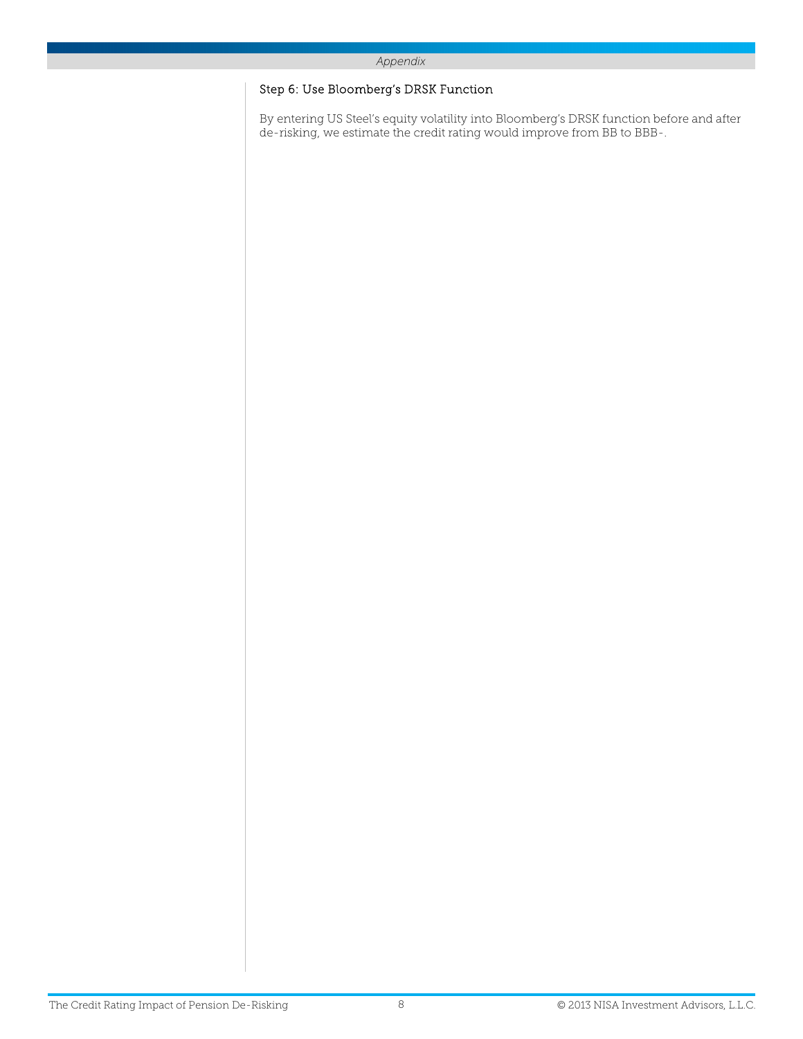#### *Appendix*

### Step 6: Use Bloomberg's DRSK Function

By entering US Steel's equity volatility into Bloomberg's DRSK function before and after de-risking, we estimate the credit rating would improve from BB to BBB-.